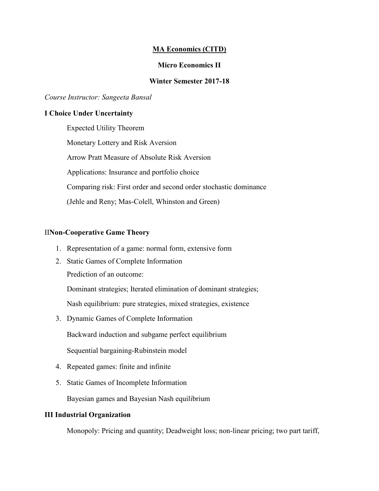### **MA Economics (CITD)**

### **Micro Economics II**

#### **Winter Semester 2017-18**

#### *Course Instructor: Sangeeta Bansal*

#### **I Choice Under Uncertainty**

Expected Utility Theorem Monetary Lottery and Risk Aversion Arrow Pratt Measure of Absolute Risk Aversion Applications: Insurance and portfolio choice Comparing risk: First order and second order stochastic dominance (Jehle and Reny; Mas-Colell, Whinston and Green)

#### II**Non-Cooperative Game Theory**

- 1. Representation of a game: normal form, extensive form
- 2. Static Games of Complete Information

Prediction of an outcome:

Dominant strategies; Iterated elimination of dominant strategies;

Nash equilibrium: pure strategies, mixed strategies, existence

- 3. Dynamic Games of Complete Information Backward induction and subgame perfect equilibrium Sequential bargaining-Rubinstein model
- 4. Repeated games: finite and infinite
- 5. Static Games of Incomplete Information

Bayesian games and Bayesian Nash equilibrium

#### **III Industrial Organization**

Monopoly: Pricing and quantity; Deadweight loss; non-linear pricing; two part tariff,